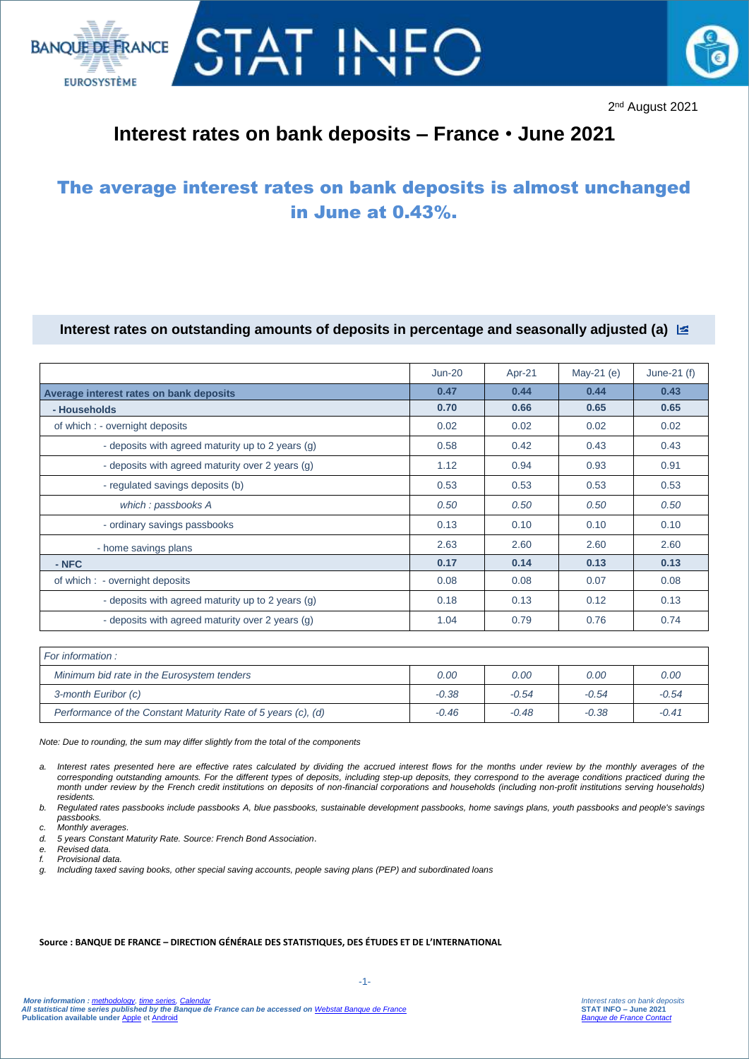



2<sup>nd</sup> August 2021

# **Interest rates on bank deposits – France** • **June 2021**

# The average interest rates on bank deposits is almost unchanged in June at 0.43%.

### **Interest rates on outstanding amounts of deposits in percentage and seasonally adjusted (a)**

|                                                   | $Jun-20$ | Apr-21 | May-21 (e) | June-21 $(f)$ |
|---------------------------------------------------|----------|--------|------------|---------------|
| Average interest rates on bank deposits           | 0.47     | 0.44   | 0.44       | 0.43          |
| - Households                                      | 0.70     | 0.66   | 0.65       | 0.65          |
| of which : - overnight deposits                   | 0.02     | 0.02   | 0.02       | 0.02          |
| - deposits with agreed maturity up to 2 years (g) | 0.58     | 0.42   | 0.43       | 0.43          |
| - deposits with agreed maturity over 2 years (g)  | 1.12     | 0.94   | 0.93       | 0.91          |
| - regulated savings deposits (b)                  | 0.53     | 0.53   | 0.53       | 0.53          |
| which: passbooks A                                | 0.50     | 0.50   | 0.50       | 0.50          |
| - ordinary savings passbooks                      | 0.13     | 0.10   | 0.10       | 0.10          |
| - home savings plans                              | 2.63     | 2.60   | 2.60       | 2.60          |
| $-$ NFC                                           | 0.17     | 0.14   | 0.13       | 0.13          |
| of which : - overnight deposits                   | 0.08     | 0.08   | 0.07       | 0.08          |
| - deposits with agreed maturity up to 2 years (g) | 0.18     | 0.13   | 0.12       | 0.13          |
| - deposits with agreed maturity over 2 years (g)  | 1.04     | 0.79   | 0.76       | 0.74          |
|                                                   |          |        |            |               |

| For information :                                             |         |         |         |         |
|---------------------------------------------------------------|---------|---------|---------|---------|
| Minimum bid rate in the Eurosystem tenders                    | 0.00    | 0.00    | 0.00    | 0.00    |
| 3-month Euribor (c)                                           | $-0.38$ | $-0.54$ | $-0.54$ | $-0.54$ |
| Performance of the Constant Maturity Rate of 5 years (c), (d) | $-0.46$ | $-0.48$ | $-0.38$ | $-0.41$ |

*Note: Due to rounding, the sum may differ slightly from the total of the components*

*a. Interest rates presented here are effective rates calculated by dividing the accrued interest flows for the months under review by the monthly averages of the corresponding outstanding amounts. For the different types of deposits, including step-up deposits, they correspond to the average conditions practiced during the month under review by the French credit institutions on deposits of non-financial corporations and households (including non-profit institutions serving households) residents.*

*b. Regulated rates passbooks include passbooks A, blue passbooks, sustainable development passbooks, home savings plans, youth passbooks and people's savings passbooks.*

*c. Monthly averages.*

*d. 5 years Constant Maturity Rate. Source: French Bond Association*.

*e. Revised data.*

*f. Provisional data.*

*g. Including taxed saving books, other special saving accounts, people saving plans (PEP) and subordinated loans*

#### **Source : BANQUE DE FRANCE – DIRECTION GÉNÉRALE DES STATISTIQUES, DES ÉTUDES ET DE L'INTERNATIONAL**